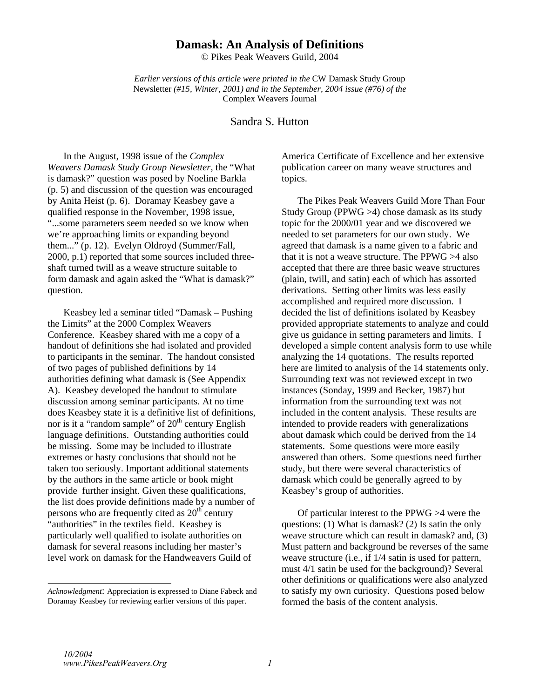# **Damask: An Analysis of Definitions**

© Pikes Peak Weavers Guild, 2004

*Earlier versions of this article were printed in the* CW Damask Study Group Newsletter *(#15, Winter, 2001) and in the September, 2004 issue (#76) of the*  Complex Weavers Journal

# Sandra S. Hutton

In the August, 1998 issue of the *Complex Weavers Damask Study Group Newsletter,* the "What is damask?" question was posed by Noeline Barkla (p. 5) and discussion of the question was encouraged by Anita Heist (p. 6). Doramay Keasbey gave a qualified response in the November, 1998 issue, "...some parameters seem needed so we know when we're approaching limits or expanding beyond them..." (p. 12). Evelyn Oldroyd (Summer/Fall, 2000, p.1) reported that some sources included threeshaft turned twill as a weave structure suitable to form damask and again asked the "What is damask?" question.

Keasbey led a seminar titled "Damask – Pushing the Limits" at the 2000 Complex Weavers Conference. Keasbey shared with me a copy of a handout of definitions she had isolated and provided to participants in the seminar. The handout consisted of two pages of published definitions by 14 authorities defining what damask is (See Appendix A). Keasbey developed the handout to stimulate discussion among seminar participants. At no time does Keasbey state it is a definitive list of definitions, nor is it a "random sample" of  $20<sup>th</sup>$  century English language definitions. Outstanding authorities could be missing. Some may be included to illustrate extremes or hasty conclusions that should not be taken too seriously. Important additional statements by the authors in the same article or book might provide further insight. Given these qualifications, the list does provide definitions made by a number of persons who are frequently cited as  $20<sup>th</sup>$  century "authorities" in the textiles field. Keasbey is particularly well qualified to isolate authorities on damask for several reasons including her master's level work on damask for the Handweavers Guild of

America Certificate of Excellence and her extensive publication career on many weave structures and topics.

The Pikes Peak Weavers Guild More Than Four Study Group (PPWG >4) chose damask as its study topic for the 2000/01 year and we discovered we needed to set parameters for our own study. We agreed that damask is a name given to a fabric and that it is not a weave structure. The PPWG >4 also accepted that there are three basic weave structures (plain, twill, and satin) each of which has assorted derivations. Setting other limits was less easily accomplished and required more discussion. I decided the list of definitions isolated by Keasbey provided appropriate statements to analyze and could give us guidance in setting parameters and limits. I developed a simple content analysis form to use while analyzing the 14 quotations. The results reported here are limited to analysis of the 14 statements only. Surrounding text was not reviewed except in two instances (Sonday, 1999 and Becker, 1987) but information from the surrounding text was not included in the content analysis. These results are intended to provide readers with generalizations about damask which could be derived from the 14 statements. Some questions were more easily answered than others. Some questions need further study, but there were several characteristics of damask which could be generally agreed to by Keasbey's group of authorities.

Of particular interest to the PPWG >4 were the questions: (1) What is damask? (2) Is satin the only weave structure which can result in damask? and, (3) Must pattern and background be reverses of the same weave structure (i.e., if 1/4 satin is used for pattern, must 4/1 satin be used for the background)? Several other definitions or qualifications were also analyzed to satisfy my own curiosity. Questions posed below formed the basis of the content analysis.

*Acknowledgment*: Appreciation is expressed to Diane Fabeck and Doramay Keasbey for reviewing earlier versions of this paper.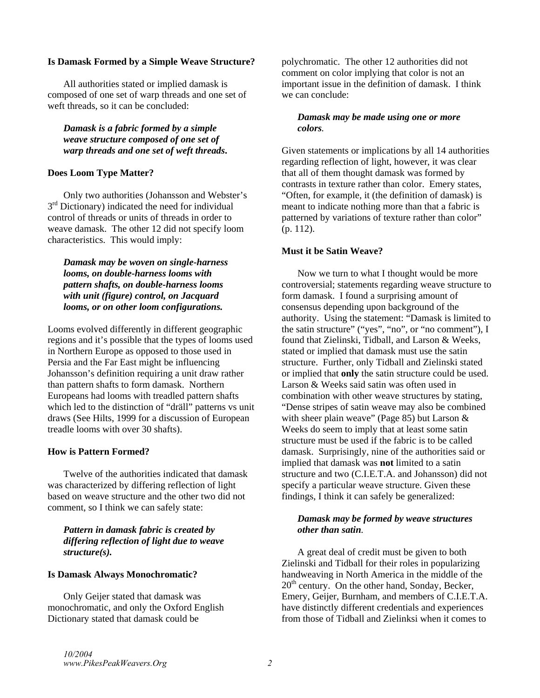#### **Is Damask Formed by a Simple Weave Structure?**

All authorities stated or implied damask is composed of one set of warp threads and one set of weft threads, so it can be concluded:

*Damask is a fabric formed by a simple weave structure composed of one set of warp threads and one set of weft threads***.**

# **Does Loom Type Matter?**

Only two authorities (Johansson and Webster's  $3<sup>rd</sup>$  Dictionary) indicated the need for individual control of threads or units of threads in order to weave damask. The other 12 did not specify loom characteristics. This would imply:

*Damask may be woven on single-harness looms, on double-harness looms with pattern shafts, on double-harness looms with unit (figure) control, on Jacquard looms, or on other loom configurations.* 

Looms evolved differently in different geographic regions and it's possible that the types of looms used in Northern Europe as opposed to those used in Persia and the Far East might be influencing Johansson's definition requiring a unit draw rather than pattern shafts to form damask. Northern Europeans had looms with treadled pattern shafts which led to the distinction of "dräll" patterns vs unit draws (See Hilts, 1999 for a discussion of European treadle looms with over 30 shafts).

# **How is Pattern Formed?**

Twelve of the authorities indicated that damask was characterized by differing reflection of light based on weave structure and the other two did not comment, so I think we can safely state:

### *Pattern in damask fabric is created by differing reflection of light due to weave structure(s).*

### **Is Damask Always Monochromatic?**

Only Geijer stated that damask was monochromatic, and only the Oxford English Dictionary stated that damask could be

polychromatic. The other 12 authorities did not comment on color implying that color is not an important issue in the definition of damask. I think we can conclude:

# *Damask may be made using one or more colors.*

Given statements or implications by all 14 authorities regarding reflection of light, however, it was clear that all of them thought damask was formed by contrasts in texture rather than color. Emery states, "Often, for example, it (the definition of damask) is meant to indicate nothing more than that a fabric is patterned by variations of texture rather than color" (p. 112).

### **Must it be Satin Weave?**

Now we turn to what I thought would be more controversial; statements regarding weave structure to form damask. I found a surprising amount of consensus depending upon background of the authority. Using the statement: "Damask is limited to the satin structure" ("yes", "no", or "no comment"), I found that Zielinski, Tidball, and Larson & Weeks, stated or implied that damask must use the satin structure. Further, only Tidball and Zielinski stated or implied that **only** the satin structure could be used. Larson & Weeks said satin was often used in combination with other weave structures by stating, "Dense stripes of satin weave may also be combined with sheer plain weave" (Page 85) but Larson & Weeks do seem to imply that at least some satin structure must be used if the fabric is to be called damask. Surprisingly, nine of the authorities said or implied that damask was **not** limited to a satin structure and two (C.I.E.T.A. and Johansson) did not specify a particular weave structure. Given these findings, I think it can safely be generalized:

### *Damask may be formed by weave structures other than satin.*

A great deal of credit must be given to both Zielinski and Tidball for their roles in popularizing handweaving in North America in the middle of the  $20<sup>th</sup>$  century. On the other hand, Sonday, Becker, Emery, Geijer, Burnham, and members of C.I.E.T.A. have distinctly different credentials and experiences from those of Tidball and Zielinksi when it comes to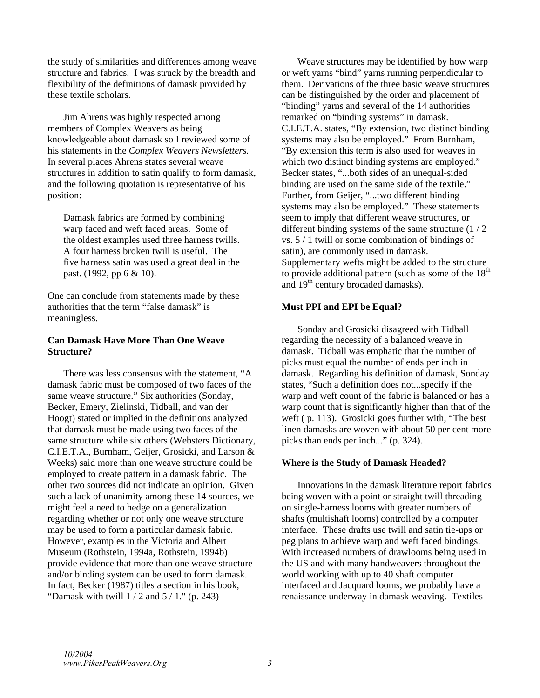the study of similarities and differences among weave structure and fabrics. I was struck by the breadth and flexibility of the definitions of damask provided by these textile scholars.

 Jim Ahrens was highly respected among members of Complex Weavers as being knowledgeable about damask so I reviewed some of his statements in the *Complex Weavers Newsletters.* In several places Ahrens states several weave structures in addition to satin qualify to form damask, and the following quotation is representative of his position:

Damask fabrics are formed by combining warp faced and weft faced areas. Some of the oldest examples used three harness twills. A four harness broken twill is useful. The five harness satin was used a great deal in the past. (1992, pp 6 & 10).

One can conclude from statements made by these authorities that the term "false damask" is meaningless.

#### **Can Damask Have More Than One Weave Structure?**

 There was less consensus with the statement, "A damask fabric must be composed of two faces of the same weave structure." Six authorities (Sonday, Becker, Emery, Zielinski, Tidball, and van der Hoogt) stated or implied in the definitions analyzed that damask must be made using two faces of the same structure while six others (Websters Dictionary, C.I.E.T.A., Burnham, Geijer, Grosicki, and Larson & Weeks) said more than one weave structure could be employed to create pattern in a damask fabric. The other two sources did not indicate an opinion. Given such a lack of unanimity among these 14 sources, we might feel a need to hedge on a generalization regarding whether or not only one weave structure may be used to form a particular damask fabric. However, examples in the Victoria and Albert Museum (Rothstein, 1994a, Rothstein, 1994b) provide evidence that more than one weave structure and/or binding system can be used to form damask. In fact, Becker (1987) titles a section in his book, "Damask with twill  $1/2$  and  $5/1$ ." (p. 243)

 Weave structures may be identified by how warp or weft yarns "bind" yarns running perpendicular to them. Derivations of the three basic weave structures can be distinguished by the order and placement of "binding" yarns and several of the 14 authorities remarked on "binding systems" in damask. C.I.E.T.A. states, "By extension, two distinct binding systems may also be employed." From Burnham, "By extension this term is also used for weaves in which two distinct binding systems are employed." Becker states, "...both sides of an unequal-sided binding are used on the same side of the textile." Further, from Geijer, "...two different binding systems may also be employed." These statements seem to imply that different weave structures, or different binding systems of the same structure (1 / 2 vs. 5 / 1 twill or some combination of bindings of satin), are commonly used in damask. Supplementary wefts might be added to the structure to provide additional pattern (such as some of the  $18<sup>th</sup>$ and 19th century brocaded damasks).

# **Must PPI and EPI be Equal?**

 Sonday and Grosicki disagreed with Tidball regarding the necessity of a balanced weave in damask. Tidball was emphatic that the number of picks must equal the number of ends per inch in damask. Regarding his definition of damask, Sonday states, "Such a definition does not...specify if the warp and weft count of the fabric is balanced or has a warp count that is significantly higher than that of the weft ( p. 113). Grosicki goes further with, "The best linen damasks are woven with about 50 per cent more picks than ends per inch..." (p. 324).

# **Where is the Study of Damask Headed?**

 Innovations in the damask literature report fabrics being woven with a point or straight twill threading on single-harness looms with greater numbers of shafts (multishaft looms) controlled by a computer interface. These drafts use twill and satin tie-ups or peg plans to achieve warp and weft faced bindings. With increased numbers of drawlooms being used in the US and with many handweavers throughout the world working with up to 40 shaft computer interfaced and Jacquard looms, we probably have a renaissance underway in damask weaving. Textiles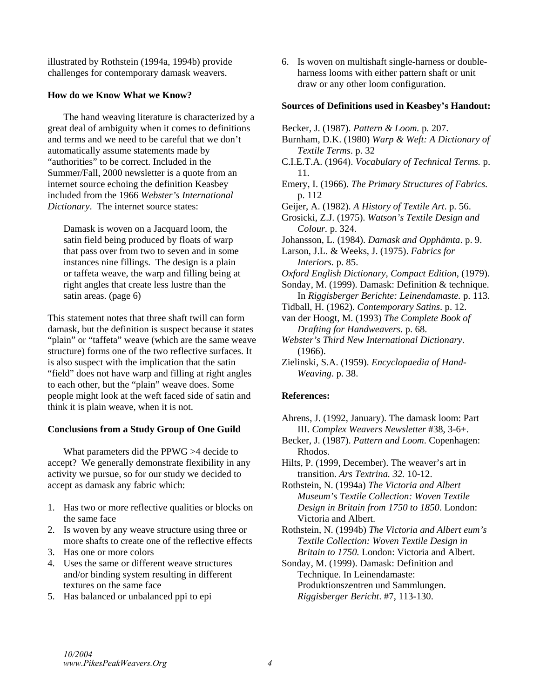illustrated by Rothstein (1994a, 1994b) provide challenges for contemporary damask weavers.

# **How do we Know What we Know?**

 The hand weaving literature is characterized by a great deal of ambiguity when it comes to definitions and terms and we need to be careful that we don't automatically assume statements made by "authorities" to be correct. Included in the Summer/Fall, 2000 newsletter is a quote from an internet source echoing the definition Keasbey included from the 1966 *Webster's International Dictionary*. The internet source states:

Damask is woven on a Jacquard loom, the satin field being produced by floats of warp that pass over from two to seven and in some instances nine fillings. The design is a plain or taffeta weave, the warp and filling being at right angles that create less lustre than the satin areas. (page 6)

This statement notes that three shaft twill can form damask, but the definition is suspect because it states "plain" or "taffeta" weave (which are the same weave structure) forms one of the two reflective surfaces. It is also suspect with the implication that the satin "field" does not have warp and filling at right angles to each other, but the "plain" weave does. Some people might look at the weft faced side of satin and think it is plain weave, when it is not.

# **Conclusions from a Study Group of One Guild**

 What parameters did the PPWG >4 decide to accept? We generally demonstrate flexibility in any activity we pursue, so for our study we decided to accept as damask any fabric which:

- 1. Has two or more reflective qualities or blocks on the same face
- 2. Is woven by any weave structure using three or more shafts to create one of the reflective effects
- 3. Has one or more colors
- 4. Uses the same or different weave structures and/or binding system resulting in different textures on the same face
- 5. Has balanced or unbalanced ppi to epi

6. Is woven on multishaft single-harness or doubleharness looms with either pattern shaft or unit draw or any other loom configuration.

#### **Sources of Definitions used in Keasbey's Handout:**

Becker, J. (1987). *Pattern & Loom.* p. 207. Burnham, D.K. (1980) *Warp & Weft: A Dictionary of Textile Terms*. p. 32 C.I.E.T.A. (1964). *Vocabulary of Technical Terms.* p. 11*.* Emery, I. (1966). *The Primary Structures of Fabrics.* p. 112 Geijer, A. (1982). *A History of Textile Art*. p. 56. Grosicki, Z.J. (1975). *Watson's Textile Design and Colour.* p. 324. Johansson, L. (1984). *Damask and Opphämta*. p. 9. Larson, J.L. & Weeks, J. (1975). *Fabrics for Interiors.* p. 85. *Oxford English Dictionary, Compact Edition*, (1979). Sonday, M. (1999). Damask: Definition & technique. In *Riggisberger Berichte: Leinendamaste.* p. 113. Tidball, H. (1962). *Contemporary Satins*. p. 12. van der Hoogt, M. (1993) *The Complete Book of Drafting for Handweavers*. p. 68. *Webster's Third New International Dictionary*. (1966). Zielinski, S.A. (1959). *Encyclopaedia of Hand-*

# *Weaving*. p. 38.

# **References:**

Ahrens, J. (1992, January). The damask loom: Part III. *Complex Weavers Newsletter* #38, 3-6+.

Becker, J. (1987). *Pattern and Loom*. Copenhagen: Rhodos.

Hilts, P. (1999, December). The weaver's art in transition. *Ars Textrina. 32.* 10-12.

Rothstein, N. (1994a) *The Victoria and Albert Museum's Textile Collection: Woven Textile Design in Britain from 1750 to 1850*. London: Victoria and Albert.

Rothstein, N. (1994b) *The Victoria and Albert eum's Textile Collection: Woven Textile Design in Britain to 1750.* London: Victoria and Albert.

Sonday, M. (1999). Damask: Definition and Technique. In Leinendamaste: Produktionszentren und Sammlungen. *Riggisberger Bericht*. #7, 113-130.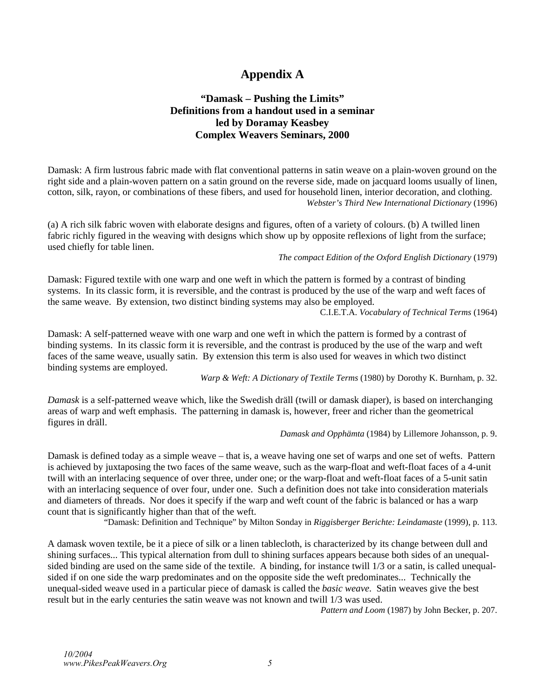# **Appendix A**

# **"Damask – Pushing the Limits" Definitions from a handout used in a seminar led by Doramay Keasbey Complex Weavers Seminars, 2000**

Damask: A firm lustrous fabric made with flat conventional patterns in satin weave on a plain-woven ground on the right side and a plain-woven pattern on a satin ground on the reverse side, made on jacquard looms usually of linen, cotton, silk, rayon, or combinations of these fibers, and used for household linen, interior decoration, and clothing. *Webster's Third New International Dictionary* (1996)

(a) A rich silk fabric woven with elaborate designs and figures, often of a variety of colours. (b) A twilled linen fabric richly figured in the weaving with designs which show up by opposite reflexions of light from the surface; used chiefly for table linen.

*The compact Edition of the Oxford English Dictionary* (1979)

Damask: Figured textile with one warp and one weft in which the pattern is formed by a contrast of binding systems. In its classic form, it is reversible, and the contrast is produced by the use of the warp and weft faces of the same weave. By extension, two distinct binding systems may also be employed.

C.I.E.T.A. *Vocabulary of Technical Terms* (1964)

Damask: A self-patterned weave with one warp and one weft in which the pattern is formed by a contrast of binding systems. In its classic form it is reversible, and the contrast is produced by the use of the warp and weft faces of the same weave, usually satin. By extension this term is also used for weaves in which two distinct binding systems are employed.

*Warp & Weft: A Dictionary of Textile Terms* (1980) by Dorothy K. Burnham, p. 32.

*Damask* is a self-patterned weave which, like the Swedish dräll (twill or damask diaper), is based on interchanging areas of warp and weft emphasis. The patterning in damask is, however, freer and richer than the geometrical figures in dräll.

### *Damask and Opphämta* (1984) by Lillemore Johansson, p. 9.

Damask is defined today as a simple weave – that is, a weave having one set of warps and one set of wefts. Pattern is achieved by juxtaposing the two faces of the same weave, such as the warp-float and weft-float faces of a 4-unit twill with an interlacing sequence of over three, under one; or the warp-float and weft-float faces of a 5-unit satin with an interlacing sequence of over four, under one. Such a definition does not take into consideration materials and diameters of threads. Nor does it specify if the warp and weft count of the fabric is balanced or has a warp count that is significantly higher than that of the weft.

"Damask: Definition and Technique" by Milton Sonday in *Riggisberger Berichte: Leindamaste* (1999), p. 113.

A damask woven textile, be it a piece of silk or a linen tablecloth, is characterized by its change between dull and shining surfaces... This typical alternation from dull to shining surfaces appears because both sides of an unequalsided binding are used on the same side of the textile. A binding, for instance twill 1/3 or a satin, is called unequalsided if on one side the warp predominates and on the opposite side the weft predominates... Technically the unequal-sided weave used in a particular piece of damask is called the *basic weave*. Satin weaves give the best result but in the early centuries the satin weave was not known and twill 1/3 was used.

*Pattern and Loom* (1987) by John Becker, p. 207.